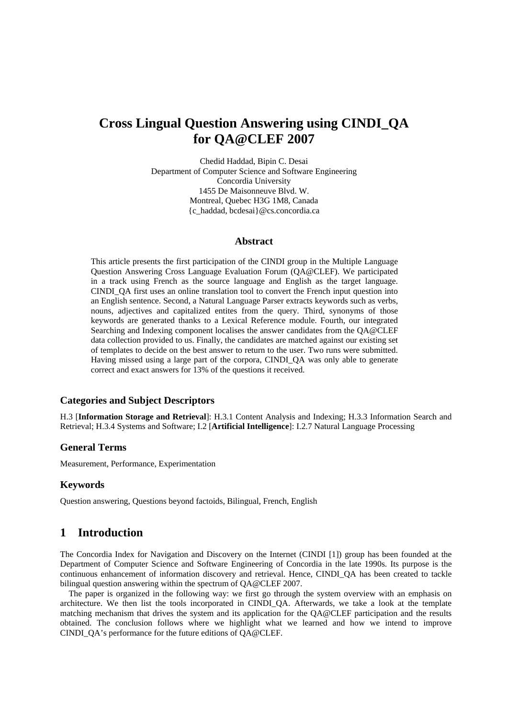# **Cross Lingual Question Answering using CINDI\_QA for QA@CLEF 2007**

Chedid Haddad, Bipin C. Desai Department of Computer Science and Software Engineering Concordia University 1455 De Maisonneuve Blvd. W. Montreal, Quebec H3G 1M8, Canada {c\_haddad, bcdesai}@cs.concordia.ca

#### **Abstract**

This article presents the first participation of the CINDI group in the Multiple Language Question Answering Cross Language Evaluation Forum (QA@CLEF). We participated in a track using French as the source language and English as the target language. CINDI\_QA first uses an online translation tool to convert the French input question into an English sentence. Second, a Natural Language Parser extracts keywords such as verbs, nouns, adjectives and capitalized entites from the query. Third, synonyms of those keywords are generated thanks to a Lexical Reference module. Fourth, our integrated Searching and Indexing component localises the answer candidates from the QA@CLEF data collection provided to us. Finally, the candidates are matched against our existing set of templates to decide on the best answer to return to the user. Two runs were submitted. Having missed using a large part of the corpora, CINDI\_QA was only able to generate correct and exact answers for 13% of the questions it received.

#### **Categories and Subject Descriptors**

H.3 [**Information Storage and Retrieval**]: H.3.1 Content Analysis and Indexing; H.3.3 Information Search and Retrieval; H.3.4 Systems and Software; I.2 [**Artificial Intelligence**]: I.2.7 Natural Language Processing

#### **General Terms**

Measurement, Performance, Experimentation

#### **Keywords**

Question answering, Questions beyond factoids, Bilingual, French, English

### **1 Introduction**

The Concordia Index for Navigation and Discovery on the Internet (CINDI [1]) group has been founded at the Department of Computer Science and Software Engineering of Concordia in the late 1990s. Its purpose is the continuous enhancement of information discovery and retrieval. Hence, CINDI\_QA has been created to tackle bilingual question answering within the spectrum of QA@CLEF 2007.

 The paper is organized in the following way: we first go through the system overview with an emphasis on architecture. We then list the tools incorporated in CINDI\_QA. Afterwards, we take a look at the template matching mechanism that drives the system and its application for the QA@CLEF participation and the results obtained. The conclusion follows where we highlight what we learned and how we intend to improve CINDI\_QA's performance for the future editions of QA@CLEF.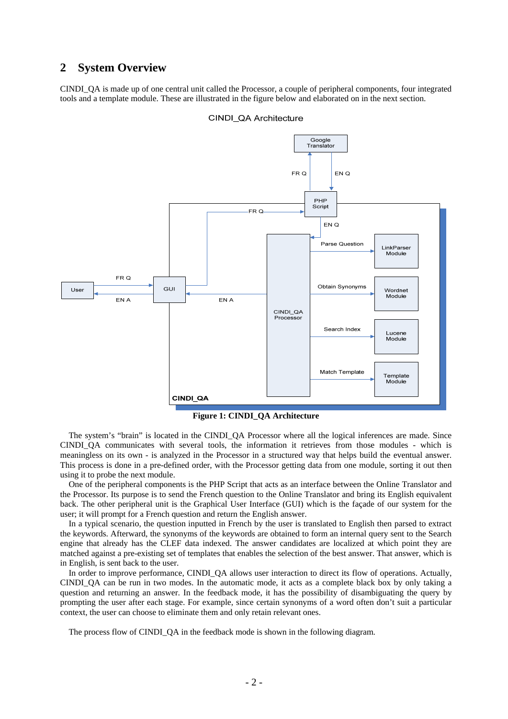### **2 System Overview**

CINDI\_QA is made up of one central unit called the Processor, a couple of peripheral components, four integrated tools and a template module. These are illustrated in the figure below and elaborated on in the next section.



CINDI QA Architecture

**Figure 1: CINDI\_QA Architecture** 

 The system's "brain" is located in the CINDI\_QA Processor where all the logical inferences are made. Since CINDI\_QA communicates with several tools, the information it retrieves from those modules - which is meaningless on its own - is analyzed in the Processor in a structured way that helps build the eventual answer. This process is done in a pre-defined order, with the Processor getting data from one module, sorting it out then using it to probe the next module.

 One of the peripheral components is the PHP Script that acts as an interface between the Online Translator and the Processor. Its purpose is to send the French question to the Online Translator and bring its English equivalent back. The other peripheral unit is the Graphical User Interface (GUI) which is the façade of our system for the user; it will prompt for a French question and return the English answer.

 In a typical scenario, the question inputted in French by the user is translated to English then parsed to extract the keywords. Afterward, the synonyms of the keywords are obtained to form an internal query sent to the Search engine that already has the CLEF data indexed. The answer candidates are localized at which point they are matched against a pre-existing set of templates that enables the selection of the best answer. That answer, which is in English, is sent back to the user.

In order to improve performance, CINDI\_QA allows user interaction to direct its flow of operations. Actually, CINDI QA can be run in two modes. In the automatic mode, it acts as a complete black box by only taking a question and returning an answer. In the feedback mode, it has the possibility of disambiguating the query by prompting the user after each stage. For example, since certain synonyms of a word often don't suit a particular context, the user can choose to eliminate them and only retain relevant ones.

The process flow of CINDI\_QA in the feedback mode is shown in the following diagram.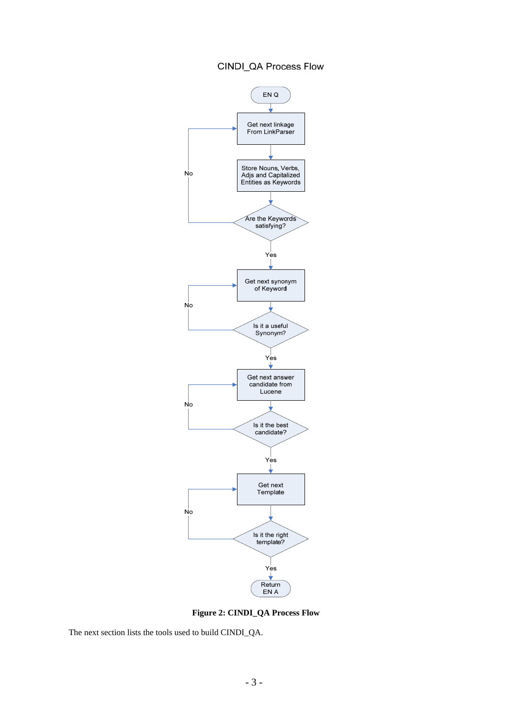## CINDI\_QA Process Flow



**Figure 2: CINDI\_QA Process Flow**

The next section lists the tools used to build CINDI\_QA.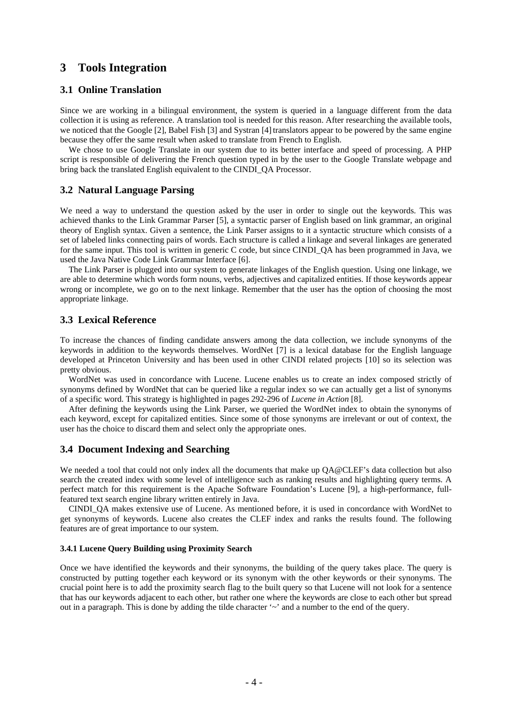## **3 Tools Integration**

#### **3.1 Online Translation**

Since we are working in a bilingual environment, the system is queried in a language different from the data collection it is using as reference. A translation tool is needed for this reason. After researching the available tools, we noticed that the Google [2], Babel Fish [3] and Systran [4] translators appear to be powered by the same engine because they offer the same result when asked to translate from French to English.

 We chose to use Google Translate in our system due to its better interface and speed of processing. A PHP script is responsible of delivering the French question typed in by the user to the Google Translate webpage and bring back the translated English equivalent to the CINDI\_QA Processor.

#### **3.2 Natural Language Parsing**

We need a way to understand the question asked by the user in order to single out the keywords. This was achieved thanks to the Link Grammar Parser [5], a syntactic parser of English based on link grammar, an original theory of English syntax. Given a sentence, the Link Parser assigns to it a syntactic structure which consists of a set of labeled links connecting pairs of words. Each structure is called a linkage and several linkages are generated for the same input. This tool is written in generic C code, but since CINDI\_QA has been programmed in Java, we used the Java Native Code Link Grammar Interface [6].

 The Link Parser is plugged into our system to generate linkages of the English question. Using one linkage, we are able to determine which words form nouns, verbs, adjectives and capitalized entities. If those keywords appear wrong or incomplete, we go on to the next linkage. Remember that the user has the option of choosing the most appropriate linkage.

#### **3.3 Lexical Reference**

To increase the chances of finding candidate answers among the data collection, we include synonyms of the keywords in addition to the keywords themselves. WordNet [7] is a lexical database for the English language developed at Princeton University and has been used in other CINDI related projects [10] so its selection was pretty obvious.

 WordNet was used in concordance with Lucene. Lucene enables us to create an index composed strictly of synonyms defined by WordNet that can be queried like a regular index so we can actually get a list of synonyms of a specific word. This strategy is highlighted in pages 292-296 of *Lucene in Action* [8].

 After defining the keywords using the Link Parser, we queried the WordNet index to obtain the synonyms of each keyword, except for capitalized entities. Since some of those synonyms are irrelevant or out of context, the user has the choice to discard them and select only the appropriate ones.

#### **3.4 Document Indexing and Searching**

We needed a tool that could not only index all the documents that make up  $OA@CLEF's$  data collection but also search the created index with some level of intelligence such as ranking results and highlighting query terms. A perfect match for this requirement is the Apache Software Foundation's Lucene [9], a high-performance, fullfeatured text search engine library written entirely in Java.

 CINDI\_QA makes extensive use of Lucene. As mentioned before, it is used in concordance with WordNet to get synonyms of keywords. Lucene also creates the CLEF index and ranks the results found. The following features are of great importance to our system.

#### **3.4.1 Lucene Query Building using Proximity Search**

Once we have identified the keywords and their synonyms, the building of the query takes place. The query is constructed by putting together each keyword or its synonym with the other keywords or their synonyms. The crucial point here is to add the proximity search flag to the built query so that Lucene will not look for a sentence that has our keywords adjacent to each other, but rather one where the keywords are close to each other but spread out in a paragraph. This is done by adding the tilde character  $\sim$  and a number to the end of the query.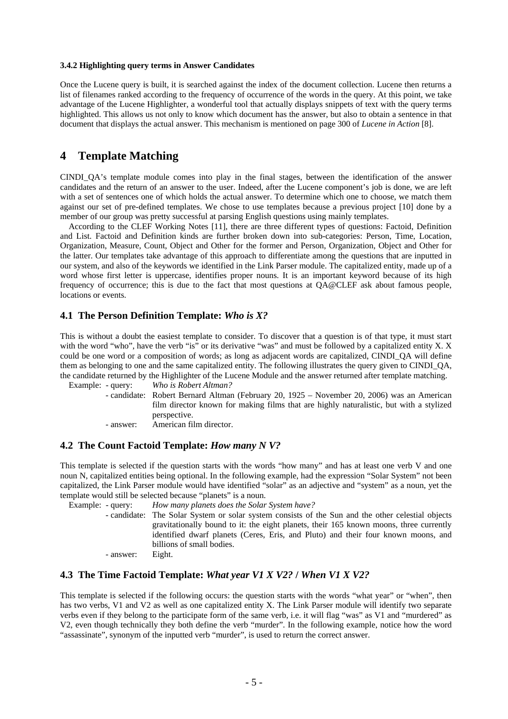#### **3.4.2 Highlighting query terms in Answer Candidates**

Once the Lucene query is built, it is searched against the index of the document collection. Lucene then returns a list of filenames ranked according to the frequency of occurrence of the words in the query. At this point, we take advantage of the Lucene Highlighter, a wonderful tool that actually displays snippets of text with the query terms highlighted. This allows us not only to know which document has the answer, but also to obtain a sentence in that document that displays the actual answer. This mechanism is mentioned on page 300 of *Lucene in Action* [8].

### **4 Template Matching**

CINDI\_QA's template module comes into play in the final stages, between the identification of the answer candidates and the return of an answer to the user. Indeed, after the Lucene component's job is done, we are left with a set of sentences one of which holds the actual answer. To determine which one to choose, we match them against our set of pre-defined templates. We chose to use templates because a previous project [10] done by a member of our group was pretty successful at parsing English questions using mainly templates.

 According to the CLEF Working Notes [11], there are three different types of questions: Factoid, Definition and List. Factoid and Definition kinds are further broken down into sub-categories: Person, Time, Location, Organization, Measure, Count, Object and Other for the former and Person, Organization, Object and Other for the latter. Our templates take advantage of this approach to differentiate among the questions that are inputted in our system, and also of the keywords we identified in the Link Parser module. The capitalized entity, made up of a word whose first letter is uppercase, identifies proper nouns. It is an important keyword because of its high frequency of occurrence; this is due to the fact that most questions at QA@CLEF ask about famous people, locations or events.

#### **4.1 The Person Definition Template:** *Who is X?*

This is without a doubt the easiest template to consider. To discover that a question is of that type, it must start with the word "who", have the verb "is" or its derivative "was" and must be followed by a capitalized entity X. X could be one word or a composition of words; as long as adjacent words are capitalized, CINDI\_QA will define them as belonging to one and the same capitalized entity. The following illustrates the query given to CINDI\_QA, the candidate returned by the Highlighter of the Lucene Module and the answer returned after template matching.

 Example: - query: *Who is Robert Altman?*  - candidate: Robert Bernard Altman (February 20, 1925 – November 20, 2006) was an American film director known for making films that are highly naturalistic, but with a stylized perspective.

- answer: American film director.

#### **4.2 The Count Factoid Template:** *How many N V?*

This template is selected if the question starts with the words "how many" and has at least one verb V and one noun N, capitalized entities being optional. In the following example, had the expression "Solar System" not been capitalized, the Link Parser module would have identified "solar" as an adjective and "system" as a noun, yet the template would still be selected because "planets" is a noun.

Example: - query: *How many planets does the Solar System have?*

- candidate: The Solar System or solar system consists of the Sun and the other celestial objects gravitationally bound to it: the eight planets, their 165 known moons, three currently identified dwarf planets (Ceres, Eris, and Pluto) and their four known moons, and billions of small bodies.

- answer: Eight.

#### **4.3 The Time Factoid Template:** *What year V1 X V2?* **/** *When V1 X V2?*

This template is selected if the following occurs: the question starts with the words "what year" or "when", then has two verbs, V1 and V2 as well as one capitalized entity X. The Link Parser module will identify two separate verbs even if they belong to the participate form of the same verb, i.e. it will flag "was" as V1 and "murdered" as V2, even though technically they both define the verb "murder". In the following example, notice how the word "assassinate", synonym of the inputted verb "murder", is used to return the correct answer.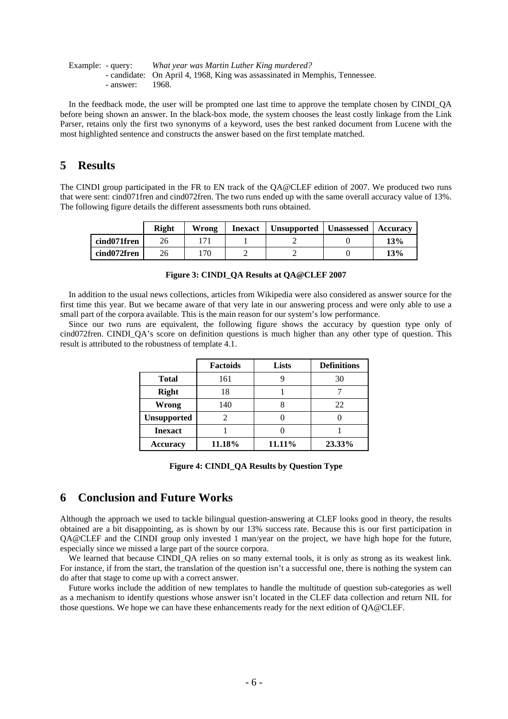|           | Example: - query: What year was Martin Luther King murdered?                |  |  |  |
|-----------|-----------------------------------------------------------------------------|--|--|--|
|           | - candidate: On April 4, 1968, King was assassinated in Memphis, Tennessee. |  |  |  |
| - answer: | -1968.                                                                      |  |  |  |

 In the feedback mode, the user will be prompted one last time to approve the template chosen by CINDI\_QA before being shown an answer. In the black-box mode, the system chooses the least costly linkage from the Link Parser, retains only the first two synonyms of a keyword, uses the best ranked document from Lucene with the most highlighted sentence and constructs the answer based on the first template matched.

## **5 Results**

The CINDI group participated in the FR to EN track of the QA@CLEF edition of 2007. We produced two runs that were sent: cind071fren and cind072fren. The two runs ended up with the same overall accuracy value of 13%. The following figure details the different assessments both runs obtained.

|             | Right | Wrong | Inexact | Unsupported   Unassessed | <b>Accuracy</b> |
|-------------|-------|-------|---------|--------------------------|-----------------|
| cind071fren |       |       |         |                          | 13%             |
| cind072fren | 26    | 170   |         |                          | 13%             |

| Figure 3: CINDI QA Results at QA@CLEF 2007 |
|--------------------------------------------|

In addition to the usual news collections, articles from Wikipedia were also considered as answer source for the first time this year. But we became aware of that very late in our answering process and were only able to use a small part of the corpora available. This is the main reason for our system's low performance.

 Since our two runs are equivalent, the following figure shows the accuracy by question type only of cind072fren. CINDI\_QA's score on definition questions is much higher than any other type of question. This result is attributed to the robustness of template 4.1.

|                    | <b>Factoids</b> | <b>Lists</b> | <b>Definitions</b> |
|--------------------|-----------------|--------------|--------------------|
| <b>Total</b>       | 161             |              | 30                 |
| <b>Right</b>       | 18              |              |                    |
| Wrong              | 140             |              | 22                 |
| <b>Unsupported</b> | 2               |              |                    |
| <b>Inexact</b>     |                 |              |                    |
| <b>Accuracy</b>    | 11.18%          | 11.11%       | 23.33%             |

**Figure 4: CINDI\_QA Results by Question Type**

### **6 Conclusion and Future Works**

Although the approach we used to tackle bilingual question-answering at CLEF looks good in theory, the results obtained are a bit disappointing, as is shown by our 13% success rate. Because this is our first participation in QA@CLEF and the CINDI group only invested 1 man/year on the project, we have high hope for the future, especially since we missed a large part of the source corpora.

We learned that because CINDI OA relies on so many external tools, it is only as strong as its weakest link. For instance, if from the start, the translation of the question isn't a successful one, there is nothing the system can do after that stage to come up with a correct answer.

 Future works include the addition of new templates to handle the multitude of question sub-categories as well as a mechanism to identify questions whose answer isn't located in the CLEF data collection and return NIL for those questions. We hope we can have these enhancements ready for the next edition of QA@CLEF.